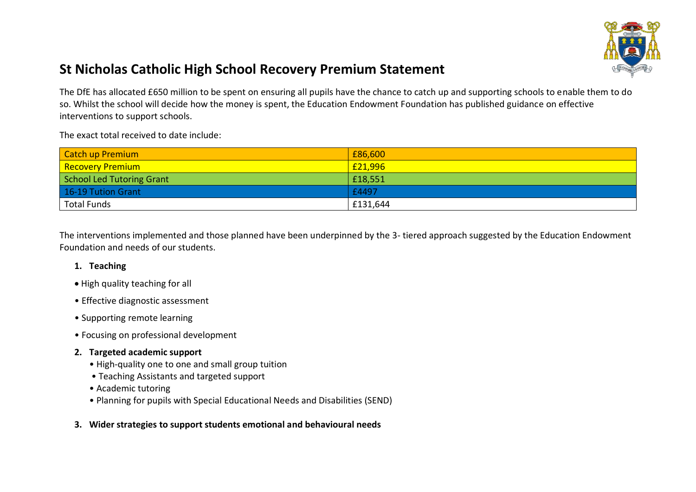

## **St Nicholas Catholic High School Recovery Premium Statement**

The DfE has allocated £650 million to be spent on ensuring all pupils have the chance to catch up and supporting schools to enable them to do so. Whilst the school will decide how the money is spent, the Education Endowment Foundation has published guidance on effective interventions to support schools.

The exact total received to date include:

| Catch up Premium                  | £86,600  |
|-----------------------------------|----------|
| <mark>' Recovery Premium '</mark> | £21,996  |
| School Led Tutoring Grant         | £18,551  |
| 16-19 Tution Grant                | £4497    |
| <b>Total Funds</b>                | £131,644 |

The interventions implemented and those planned have been underpinned by the 3- tiered approach suggested by the Education Endowment Foundation and needs of our students.

## **1. Teaching**

- High quality teaching for all
- Effective diagnostic assessment
- Supporting remote learning
- Focusing on professional development
- **2. Targeted academic support** 
	- High-quality one to one and small group tuition
	- Teaching Assistants and targeted support
	- Academic tutoring
	- Planning for pupils with Special Educational Needs and Disabilities (SEND)
- **3. Wider strategies to support students emotional and behavioural needs**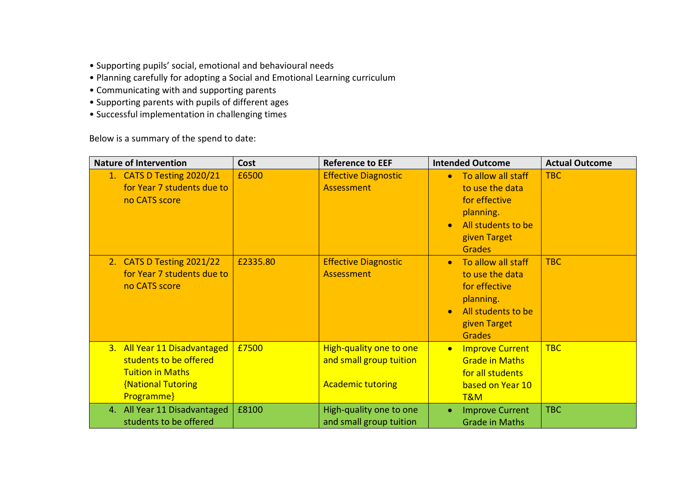- Supporting pupils' social, emotional and behavioural needs
- Planning carefully for adopting a Social and Emotional Learning curriculum
- Communicating with and supporting parents
- Supporting parents with pupils of different ages
- Successful implementation in challenging times

Below is a summary of the spend to date:

| <b>Nature of Intervention</b>                                                                                                | Cost     | <b>Reference to EEF</b>                                                        | <b>Intended Outcome</b>                                                                                                                              | <b>Actual Outcome</b> |
|------------------------------------------------------------------------------------------------------------------------------|----------|--------------------------------------------------------------------------------|------------------------------------------------------------------------------------------------------------------------------------------------------|-----------------------|
| 1. CATS D Testing 2020/21<br>for Year 7 students due to<br>no CATS score                                                     | £6500    | <b>Effective Diagnostic</b><br>Assessment                                      | To allow all staff<br>$\bullet$<br>to use the data<br>for effective<br>planning.<br>All students to be<br>$\bullet$<br>given Target<br><b>Grades</b> | TBC                   |
| 2. CATS D Testing 2021/22<br>for Year 7 students due to<br>no CATS score                                                     | £2335.80 | <b>Effective Diagnostic</b><br>Assessment                                      | To allow all staff<br>$\bullet$<br>to use the data<br>for effective<br>planning.<br>All students to be<br>$\bullet$<br>given Target<br><b>Grades</b> | <b>TBC</b>            |
| 3. All Year 11 Disadvantaged<br>students to be offered<br><b>Tuition in Maths</b><br><b>{National Tutoring</b><br>Programme} | £7500    | High-quality one to one<br>and small group tuition<br><b>Academic tutoring</b> | <b>Improve Current</b><br>$\bullet$<br><b>Grade in Maths</b><br>for all students<br>based on Year 10<br>T&M                                          | <b>TBC</b>            |
| 4. All Year 11 Disadvantaged<br>students to be offered                                                                       | £8100    | High-quality one to one<br>and small group tuition                             | <b>Improve Current</b><br>$\bullet$<br><b>Grade in Maths</b>                                                                                         | <b>TBC</b>            |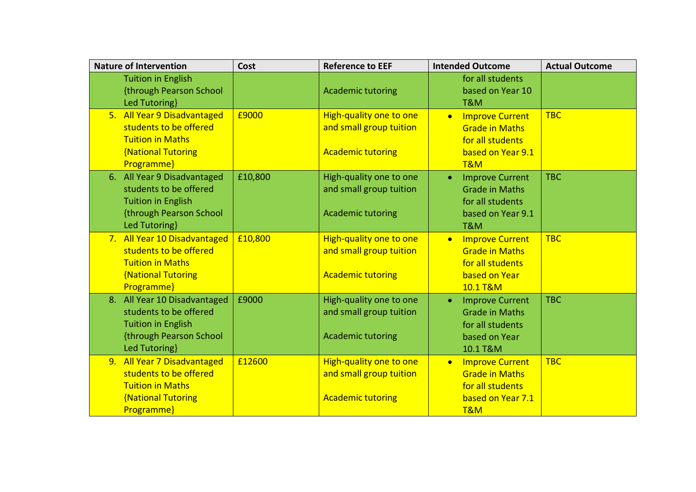| <b>Nature of Intervention</b>                                                                                                   | Cost    | <b>Reference to EEF</b>                                                        | <b>Intended Outcome</b>                                                                                       | <b>Actual Outcome</b> |
|---------------------------------------------------------------------------------------------------------------------------------|---------|--------------------------------------------------------------------------------|---------------------------------------------------------------------------------------------------------------|-----------------------|
| <b>Tuition in English</b><br>{through Pearson School<br>Led Tutoring}                                                           |         | <b>Academic tutoring</b>                                                       | for all students<br>based on Year 10<br>T&M                                                                   |                       |
| 5. All Year 9 Disadvantaged<br>students to be offered<br><b>Tuition in Maths</b><br><b>{National Tutoring</b><br>Programme}     | £9000   | High-quality one to one<br>and small group tuition<br><b>Academic tutoring</b> | <b>Improve Current</b><br>$\bullet$<br><b>Grade in Maths</b><br>for all students<br>based on Year 9.1<br>T&M  | <b>TBC</b>            |
| 6. All Year 9 Disadvantaged<br>students to be offered<br><b>Tuition in English</b><br>{through Pearson School<br>Led Tutoring}  | £10,800 | High-quality one to one<br>and small group tuition<br><b>Academic tutoring</b> | <b>Improve Current</b><br>$\bullet$<br><b>Grade in Maths</b><br>for all students<br>based on Year 9.1<br>T&M  | <b>TBC</b>            |
| 7. All Year 10 Disadvantaged<br>students to be offered<br><b>Tuition in Maths</b><br><b>National Tutoring</b><br>Programme}     | £10,800 | High-quality one to one<br>and small group tuition<br><b>Academic tutoring</b> | <b>Improve Current</b><br>$\bullet$<br><b>Grade in Maths</b><br>for all students<br>based on Year<br>10.1 T&M | <b>TBC</b>            |
| 8. All Year 10 Disadvantaged<br>students to be offered<br><b>Tuition in English</b><br>{through Pearson School<br>Led Tutoring} | £9000   | High-quality one to one<br>and small group tuition<br><b>Academic tutoring</b> | <b>Improve Current</b><br>$\bullet$<br><b>Grade in Maths</b><br>for all students<br>based on Year<br>10.1 T&M | <b>TBC</b>            |
| 9. All Year 7 Disadvantaged<br>students to be offered<br><b>Tuition in Maths</b><br><b>{National Tutoring</b><br>Programme}     | £12600  | High-quality one to one<br>and small group tuition<br><b>Academic tutoring</b> | <b>Improve Current</b><br>$\bullet$<br><b>Grade in Maths</b><br>for all students<br>based on Year 7.1<br>T&M  | <b>TBC</b>            |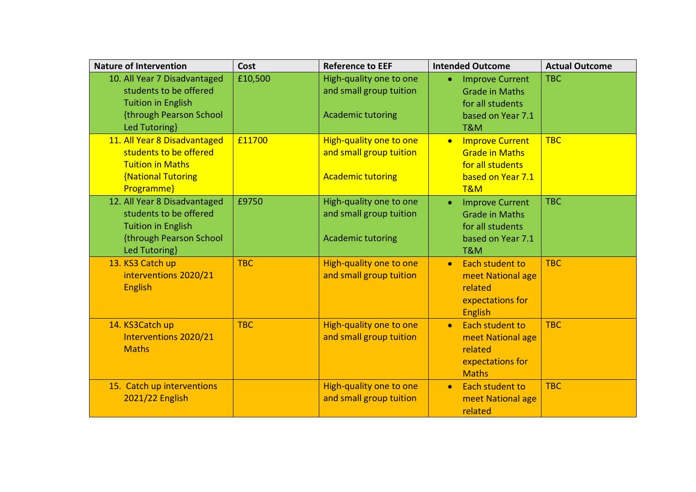| <b>Nature of Intervention</b>                                                                                                   | Cost       | <b>Reference to EEF</b>                                                        | <b>Intended Outcome</b>                                                                                                 | <b>Actual Outcome</b> |
|---------------------------------------------------------------------------------------------------------------------------------|------------|--------------------------------------------------------------------------------|-------------------------------------------------------------------------------------------------------------------------|-----------------------|
| 10. All Year 7 Disadvantaged<br>students to be offered<br><b>Tuition in English</b><br>{through Pearson School<br>Led Tutoring} | £10,500    | High-quality one to one<br>and small group tuition<br><b>Academic tutoring</b> | <b>Improve Current</b><br>$\bullet$<br><b>Grade in Maths</b><br>for all students<br>based on Year 7.1<br>T&M            | <b>TBC</b>            |
| 11. All Year 8 Disadvantaged<br>students to be offered<br><b>Tuition in Maths</b><br><b>{National Tutoring</b><br>Programme}    | £11700     | High-quality one to one<br>and small group tuition<br><b>Academic tutoring</b> | <b>Improve Current</b><br>$\bullet$<br><b>Grade in Maths</b><br>for all students<br>based on Year 7.1<br>T&M            | <b>TBC</b>            |
| 12. All Year 8 Disadvantaged<br>students to be offered<br><b>Tuition in English</b><br>{through Pearson School<br>Led Tutoring} | £9750      | High-quality one to one<br>and small group tuition<br><b>Academic tutoring</b> | <b>Improve Current</b><br>$\bullet$<br><b>Grade in Maths</b><br>for all students<br>based on Year 7.1<br><b>T&amp;M</b> | <b>TBC</b>            |
| 13. KS3 Catch up<br>interventions 2020/21<br><b>English</b>                                                                     | <b>TBC</b> | High-quality one to one<br>and small group tuition                             | Each student to<br>$\bullet$<br>meet National age<br>related<br>expectations for<br>English                             | <b>TBC</b>            |
| 14. KS3Catch up<br>Interventions 2020/21<br><b>Maths</b>                                                                        | <b>TBC</b> | High-quality one to one<br>and small group tuition                             | <b>Each student to</b><br>$\bullet$<br>meet National age<br>related<br>expectations for<br><b>Maths</b>                 | <b>TBC</b>            |
| 15. Catch up interventions<br>2021/22 English                                                                                   |            | High-quality one to one<br>and small group tuition                             | Each student to<br>$\bullet$<br>meet National age<br>related                                                            | <b>TBC</b>            |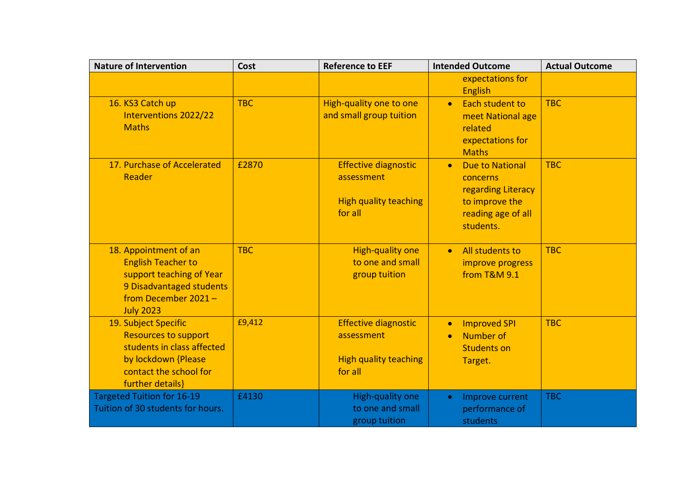| <b>Nature of Intervention</b>                                                                                                                          | Cost       | <b>Reference to EEF</b>                                                              | <b>Intended Outcome</b>                                                                                                    | <b>Actual Outcome</b> |
|--------------------------------------------------------------------------------------------------------------------------------------------------------|------------|--------------------------------------------------------------------------------------|----------------------------------------------------------------------------------------------------------------------------|-----------------------|
|                                                                                                                                                        |            |                                                                                      | expectations for<br><b>English</b>                                                                                         |                       |
| 16. KS3 Catch up<br><b>Interventions 2022/22</b><br><b>Maths</b>                                                                                       | <b>TBC</b> | High-quality one to one<br>and small group tuition                                   | Each student to<br>meet National age<br>related<br>expectations for<br><b>Maths</b>                                        | <b>TBC</b>            |
| 17. Purchase of Accelerated<br>Reader                                                                                                                  | £2870      | <b>Effective diagnostic</b><br>assessment<br><b>High quality teaching</b><br>for all | <b>Due to National</b><br>$\bullet$<br>concerns<br>regarding Literacy<br>to improve the<br>reading age of all<br>students. | <b>TBC</b>            |
| 18. Appointment of an<br><b>English Teacher to</b><br>support teaching of Year<br>9 Disadvantaged students<br>from December 2021-<br><b>July 2023</b>  | <b>TBC</b> | High-quality one<br>to one and small<br>group tuition                                | All students to<br>$\bullet$<br>improve progress<br>from T&M 9.1                                                           | <b>TBC</b>            |
| 19. Subject Specific<br><b>Resources to support</b><br>students in class affected<br>by lockdown {Please<br>contact the school for<br>further details} | £9,412     | <b>Effective diagnostic</b><br>assessment<br><b>High quality teaching</b><br>for all | <b>Improved SPI</b><br>$\bullet$<br><b>Number of</b><br><b>Students on</b><br>Target.                                      | <b>TBC</b>            |
| <b>Targeted Tuition for 16-19</b><br>Tuition of 30 students for hours.                                                                                 | £4130      | High-quality one<br>to one and small<br>group tuition                                | Improve current<br>$\bullet$<br>performance of<br>students                                                                 | <b>TBC</b>            |